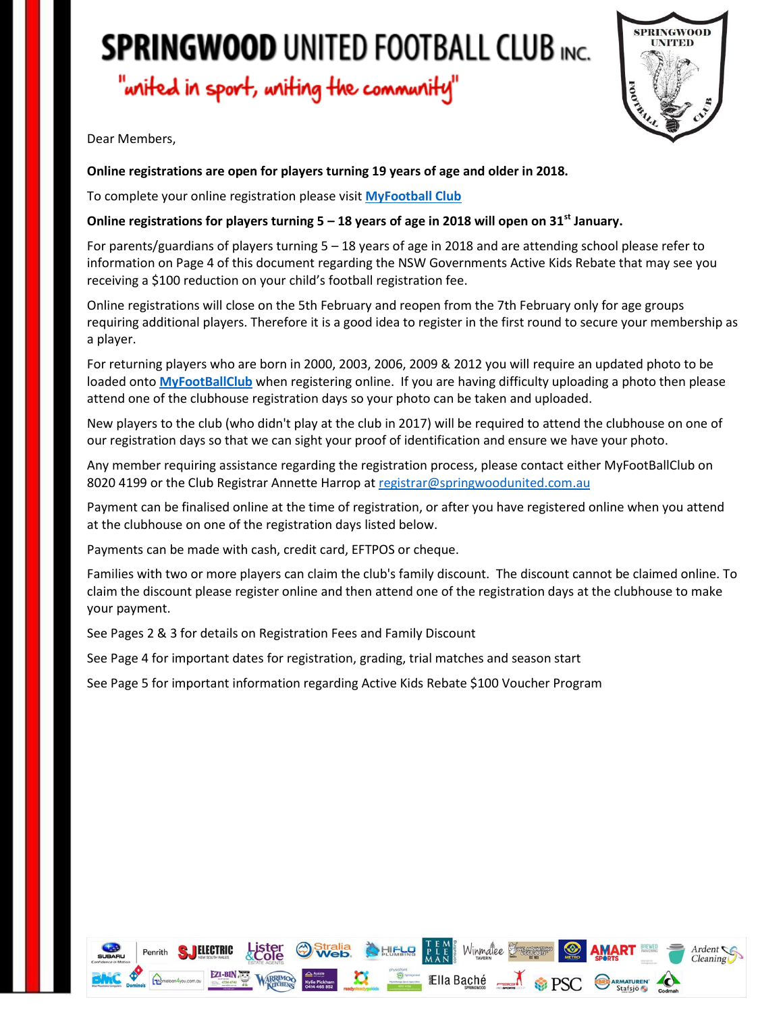"writed in sport, writing the community"



Dear Members,

#### **Online registrations are open for players turning 19 years of age and older in 2018.**

To complete your online registration please visit **[MyFootball Club](http://www.myfootballclub.com.au/index.php?id=38)**

#### **Online registrations for players turning 5 – 18 years of age in 2018 will open on 31st January.**

For parents/guardians of players turning 5 – 18 years of age in 2018 and are attending school please refer to information on Page 4 of this document regarding the NSW Governments Active Kids Rebate that may see you receiving a \$100 reduction on your child's football registration fee.

Online registrations will close on the 5th February and reopen from the 7th February only for age groups requiring additional players. Therefore it is a good idea to register in the first round to secure your membership as a player.

For returning players who are born in 2000, 2003, 2006, 2009 & 2012 you will require an updated photo to be loaded onto **[MyFootBallClub](https://www.playfootball.com.au/?id=2)** when registering online. If you are having difficulty uploading a photo then please attend one of the clubhouse registration days so your photo can be taken and uploaded.

New players to the club (who didn't play at the club in 2017) will be required to attend the clubhouse on one of our registration days so that we can sight your proof of identification and ensure we have your photo.

Any member requiring assistance regarding the registration process, please contact either MyFootBallClub on 8020 4199 or the Club Registrar Annette Harrop at [registrar@springwoodunited.com.au](mailto:registrar@springwoodunited.com.au?subject=Registration%20enquiry)

Payment can be finalised online at the time of registration, or after you have registered online when you attend at the clubhouse on one of the registration days listed below.

Payments can be made with cash, credit card, EFTPOS or cheque.

Families with two or more players can claim the club's family discount. The discount cannot be claimed online. To claim the discount please register online and then attend one of the registration days at the clubhouse to make your payment.

See Pages 2 & 3 for details on Registration Fees and Family Discount

See Page 4 for important dates for registration, grading, trial matches and season start

See Page 5 for important information regarding Active Kids Rebate \$100 Voucher Program

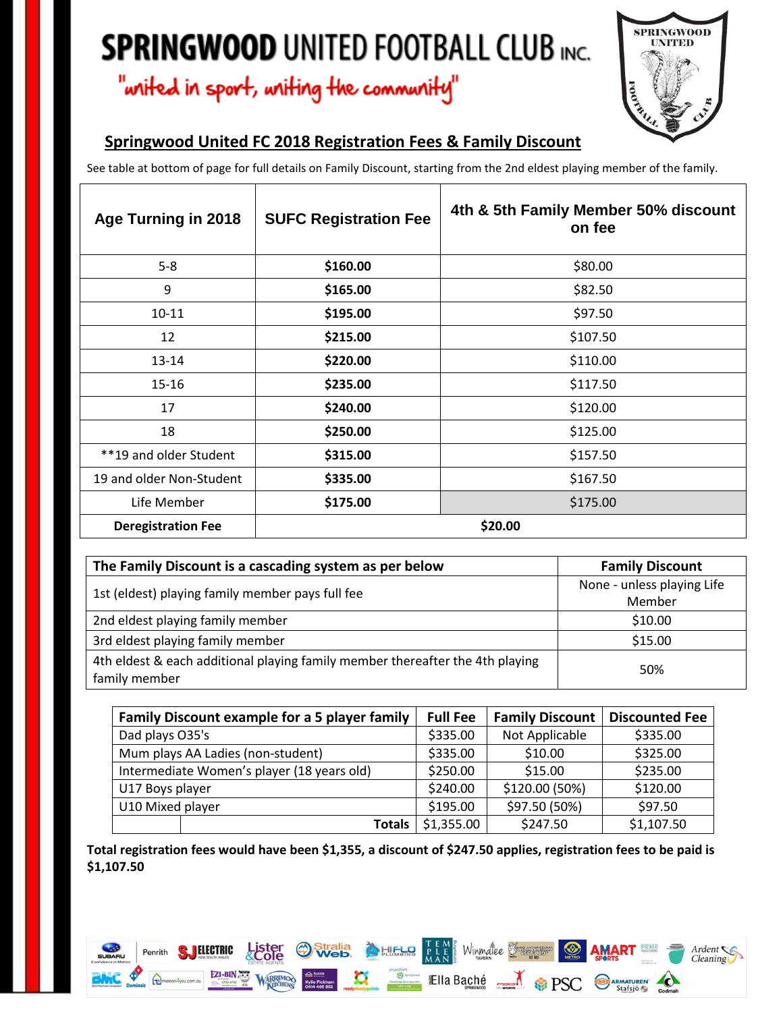## "writed in sport, writing the community"



### **Springwood United FC 2018 Registration Fees & Family Discount**

See table at bottom of page for full details on Family Discount, starting from the 2nd eldest playing member of the family.

| Age Turning in 2018       | <b>SUFC Registration Fee</b> | 4th & 5th Family Member 50% discount<br>on fee |
|---------------------------|------------------------------|------------------------------------------------|
| $5 - 8$                   | \$160.00                     | \$80.00                                        |
| 9                         | \$165.00                     | \$82.50                                        |
| $10 - 11$                 | \$195.00                     | \$97.50                                        |
| 12                        | \$215.00                     | \$107.50                                       |
| 13-14                     | \$220.00                     | \$110.00                                       |
| $15 - 16$                 | \$235.00                     | \$117.50                                       |
| 17                        | \$240.00                     | \$120.00                                       |
| 18                        | \$250.00                     | \$125.00                                       |
| **19 and older Student    | \$315.00                     | \$157.50                                       |
| 19 and older Non-Student  | \$335.00                     | \$167.50                                       |
| Life Member               | \$175.00                     | \$175.00                                       |
| <b>Deregistration Fee</b> | \$20.00                      |                                                |

| The Family Discount is a cascading system as per below                                         | <b>Family Discount</b>     |  |
|------------------------------------------------------------------------------------------------|----------------------------|--|
| 1st (eldest) playing family member pays full fee                                               | None - unless playing Life |  |
|                                                                                                | Member                     |  |
| 2nd eldest playing family member                                                               | \$10.00                    |  |
| 3rd eldest playing family member                                                               | \$15.00                    |  |
| 4th eldest & each additional playing family member thereafter the 4th playing<br>family member | 50%                        |  |

| Family Discount example for a 5 player family | <b>Full Fee</b>             | <b>Family Discount</b> | <b>Discounted Fee</b> |
|-----------------------------------------------|-----------------------------|------------------------|-----------------------|
| Dad plays O35's                               | \$335.00                    | Not Applicable         | \$335.00              |
| Mum plays AA Ladies (non-student)             | \$335.00                    | \$10.00                | \$325.00              |
| Intermediate Women's player (18 years old)    | \$250.00                    | \$15.00                | \$235.00              |
| U17 Boys player                               | \$240.00                    | \$120.00 (50%)         | \$120.00              |
| U10 Mixed player                              | \$195.00                    | \$97.50 (50%)          | \$97.50               |
|                                               | \$1,355.00<br><b>Totals</b> | \$247.50               | \$1,107.50            |

**Total registration fees would have been \$1,355, a discount of \$247.50 applies, registration fees to be paid is \$1,107.50**

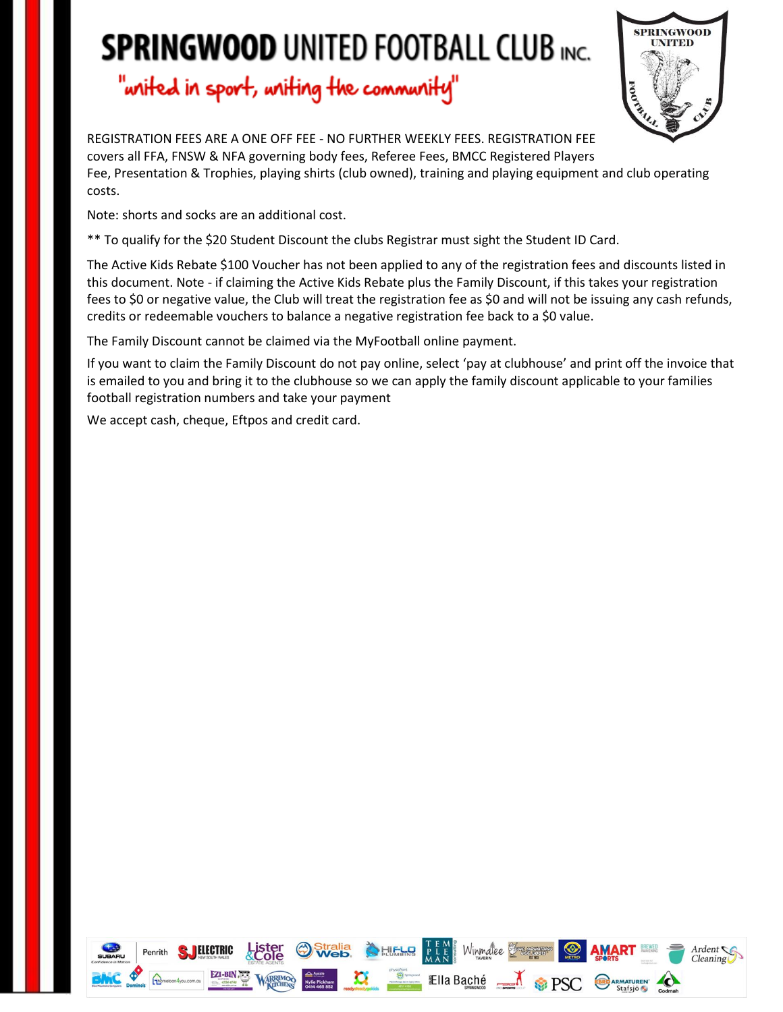## "writed in sport, writing the community"



REGISTRATION FEES ARE A ONE OFF FEE - NO FURTHER WEEKLY FEES. REGISTRATION FEE covers all FFA, FNSW & NFA governing body fees, Referee Fees, BMCC Registered Players Fee, Presentation & Trophies, playing shirts (club owned), training and playing equipment and club operating costs.

Note: shorts and socks are an additional cost.

\*\* To qualify for the \$20 Student Discount the clubs Registrar must sight the Student ID Card.

The Active Kids Rebate \$100 Voucher has not been applied to any of the registration fees and discounts listed in this document. Note - if claiming the Active Kids Rebate plus the Family Discount, if this takes your registration fees to \$0 or negative value, the Club will treat the registration fee as \$0 and will not be issuing any cash refunds, credits or redeemable vouchers to balance a negative registration fee back to a \$0 value.

The Family Discount cannot be claimed via the MyFootball online payment.

If you want to claim the Family Discount do not pay online, select 'pay at clubhouse' and print off the invoice that is emailed to you and bring it to the clubhouse so we can apply the family discount applicable to your families football registration numbers and take your payment

We accept cash, cheque, Eftpos and credit card.

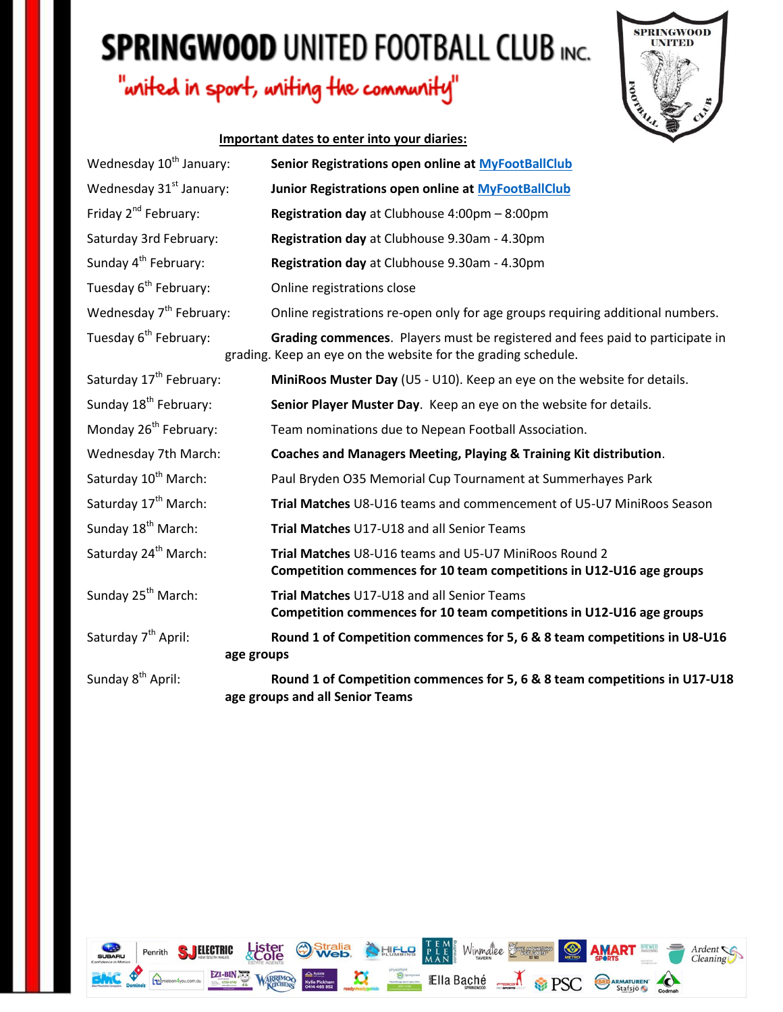### "writed in sport, writing the community"



#### **Important dates to enter into your diaries:**

| Wednesday 10 <sup>th</sup> January:           | Senior Registrations open online at MyFootBallClub                                                                                             |  |
|-----------------------------------------------|------------------------------------------------------------------------------------------------------------------------------------------------|--|
| Wednesday 31 <sup>st</sup> January:           | Junior Registrations open online at MyFootBallClub                                                                                             |  |
| Friday 2 <sup>nd</sup> February:              | Registration day at Clubhouse 4:00pm - 8:00pm                                                                                                  |  |
| Saturday 3rd February:                        | Registration day at Clubhouse 9.30am - 4.30pm                                                                                                  |  |
| Sunday 4 <sup>th</sup> February:              | Registration day at Clubhouse 9.30am - 4.30pm                                                                                                  |  |
| Tuesday 6 <sup>th</sup> February:             | Online registrations close                                                                                                                     |  |
| Wednesday 7 <sup>th</sup> February:           | Online registrations re-open only for age groups requiring additional numbers.                                                                 |  |
| Tuesday 6 <sup>th</sup> February:             | Grading commences. Players must be registered and fees paid to participate in<br>grading. Keep an eye on the website for the grading schedule. |  |
| Saturday 17 <sup>th</sup> February:           | MiniRoos Muster Day (U5 - U10). Keep an eye on the website for details.                                                                        |  |
| Sunday 18 <sup>th</sup> February:             | Senior Player Muster Day. Keep an eye on the website for details.                                                                              |  |
| Monday 26 <sup>th</sup> February:             | Team nominations due to Nepean Football Association.                                                                                           |  |
| Wednesday 7th March:                          | Coaches and Managers Meeting, Playing & Training Kit distribution.                                                                             |  |
| Saturday 10 <sup>th</sup> March:              | Paul Bryden O35 Memorial Cup Tournament at Summerhayes Park                                                                                    |  |
| Saturday 17 <sup>th</sup> March:              | Trial Matches U8-U16 teams and commencement of U5-U7 MiniRoos Season                                                                           |  |
| Sunday 18 <sup>th</sup> March:                | Trial Matches U17-U18 and all Senior Teams                                                                                                     |  |
| Saturday 24 <sup>th</sup> March:              | Trial Matches U8-U16 teams and U5-U7 MiniRoos Round 2<br>Competition commences for 10 team competitions in U12-U16 age groups                  |  |
| Sunday 25 <sup>th</sup> March:                | Trial Matches U17-U18 and all Senior Teams<br>Competition commences for 10 team competitions in U12-U16 age groups                             |  |
| Saturday 7 <sup>th</sup> April:<br>age groups | Round 1 of Competition commences for 5, 6 & 8 team competitions in U8-U16                                                                      |  |
| Sunday 8 <sup>th</sup> April:                 | Round 1 of Competition commences for 5, 6 & 8 team competitions in U17-U18<br>age groups and all Senior Teams                                  |  |